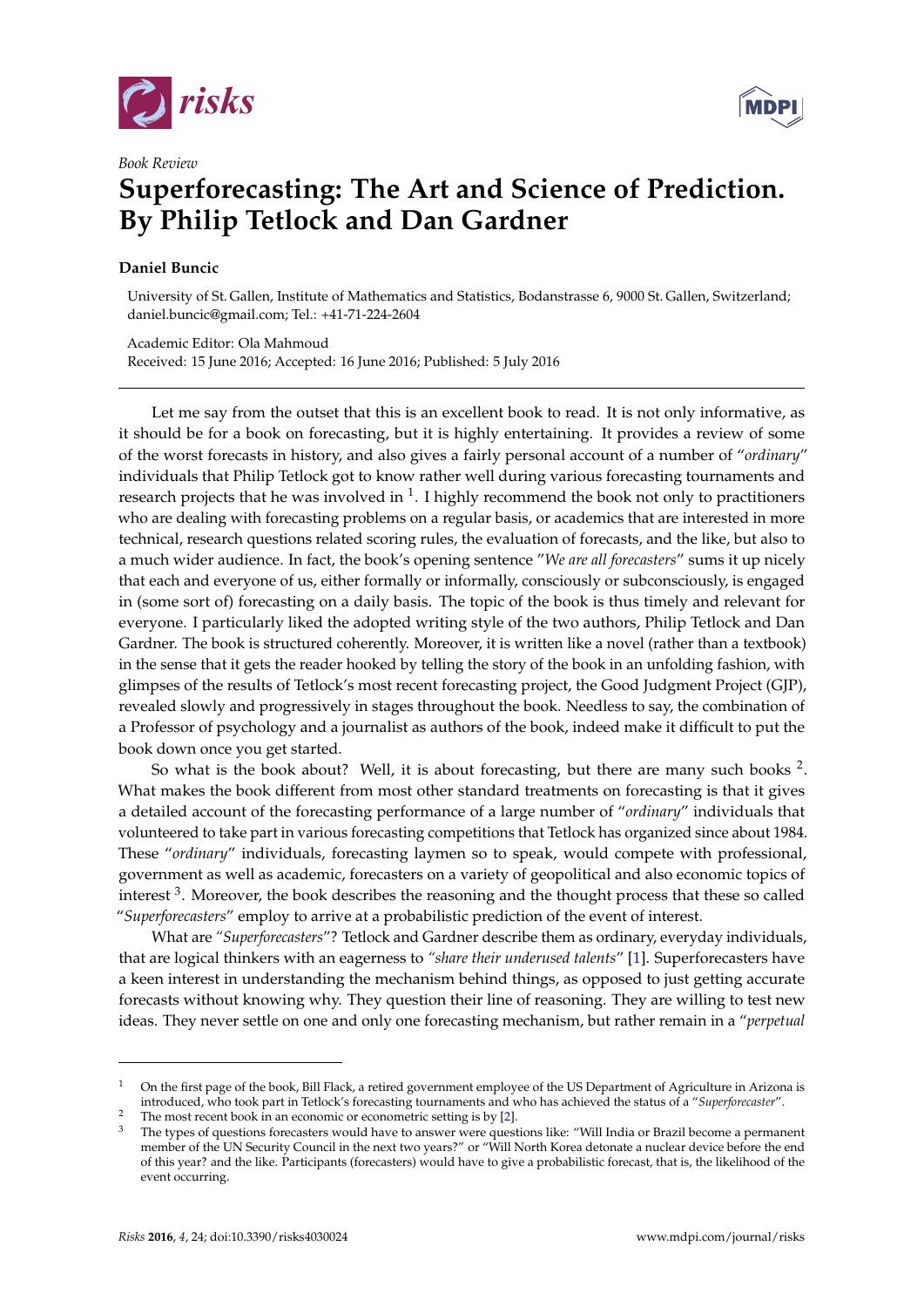

*Book Review*

## **Superforecasting: The Art and Science of Prediction. By Philip Tetlock and Dan Gardner**

## **Daniel Buncic**

University of St. Gallen, Institute of Mathematics and Statistics, Bodanstrasse 6, 9000 St. Gallen, Switzerland; daniel.buncic@gmail.com; Tel.: +41-71-224-2604

Academic Editor: Ola Mahmoud Received: 15 June 2016; Accepted: 16 June 2016; Published: 5 July 2016

Let me say from the outset that this is an excellent book to read. It is not only informative, as it should be for a book on forecasting, but it is highly entertaining. It provides a review of some of the worst forecasts in history, and also gives a fairly personal account of a number of "*ordinary*" individuals that Philip Tetlock got to know rather well during various forecasting tournaments and research projects that he was involved in  $1$ . I highly recommend the book not only to practitioners who are dealing with forecasting problems on a regular basis, or academics that are interested in more technical, research questions related scoring rules, the evaluation of forecasts, and the like, but also to a much wider audience. In fact, the book's opening sentence "*We are all forecasters*" sums it up nicely that each and everyone of us, either formally or informally, consciously or subconsciously, is engaged in (some sort of) forecasting on a daily basis. The topic of the book is thus timely and relevant for everyone. I particularly liked the adopted writing style of the two authors, Philip Tetlock and Dan Gardner. The book is structured coherently. Moreover, it is written like a novel (rather than a textbook) in the sense that it gets the reader hooked by telling the story of the book in an unfolding fashion, with glimpses of the results of Tetlock's most recent forecasting project, the Good Judgment Project (GJP), revealed slowly and progressively in stages throughout the book. Needless to say, the combination of a Professor of psychology and a journalist as authors of the book, indeed make it difficult to put the book down once you get started.

So what is the book about? Well, it is about forecasting, but there are many such books  $2$ . What makes the book different from most other standard treatments on forecasting is that it gives a detailed account of the forecasting performance of a large number of "*ordinary*" individuals that volunteered to take part in various forecasting competitions that Tetlock has organized since about 1984. These "*ordinary*" individuals, forecasting laymen so to speak, would compete with professional, government as well as academic, forecasters on a variety of geopolitical and also economic topics of interest <sup>3</sup>. Moreover, the book describes the reasoning and the thought process that these so called "*Superforecasters*" employ to arrive at a probabilistic prediction of the event of interest.

What are *"Superforecasters*"? Tetlock and Gardner describe them as ordinary, everyday individuals, that are logical thinkers with an eagerness to *"share their underused talents*" [\[1\]](#page-4-0). Superforecasters have a keen interest in understanding the mechanism behind things, as opposed to just getting accurate forecasts without knowing why. They question their line of reasoning. They are willing to test new ideas. They never settle on one and only one forecasting mechanism, but rather remain in a "*perpetual*



<sup>1</sup> On the first page of the book, Bill Flack, a retired government employee of the US Department of Agriculture in Arizona is introduced, who took part in Tetlock's forecasting tournaments and who has achieved the status of a "*Superforecaster*".

The most recent book in an economic or economic or economic setting is by [\[2\]](#page-4-1).<br>
The types of questions forecasters would have to answer were quest

 $3$  The types of questions forecasters would have to answer were questions like: "Will India or Brazil become a permanent member of the UN Security Council in the next two years?" or "Will North Korea detonate a nuclear device before the end of this year? and the like. Participants (forecasters) would have to give a probabilistic forecast, that is, the likelihood of the event occurring.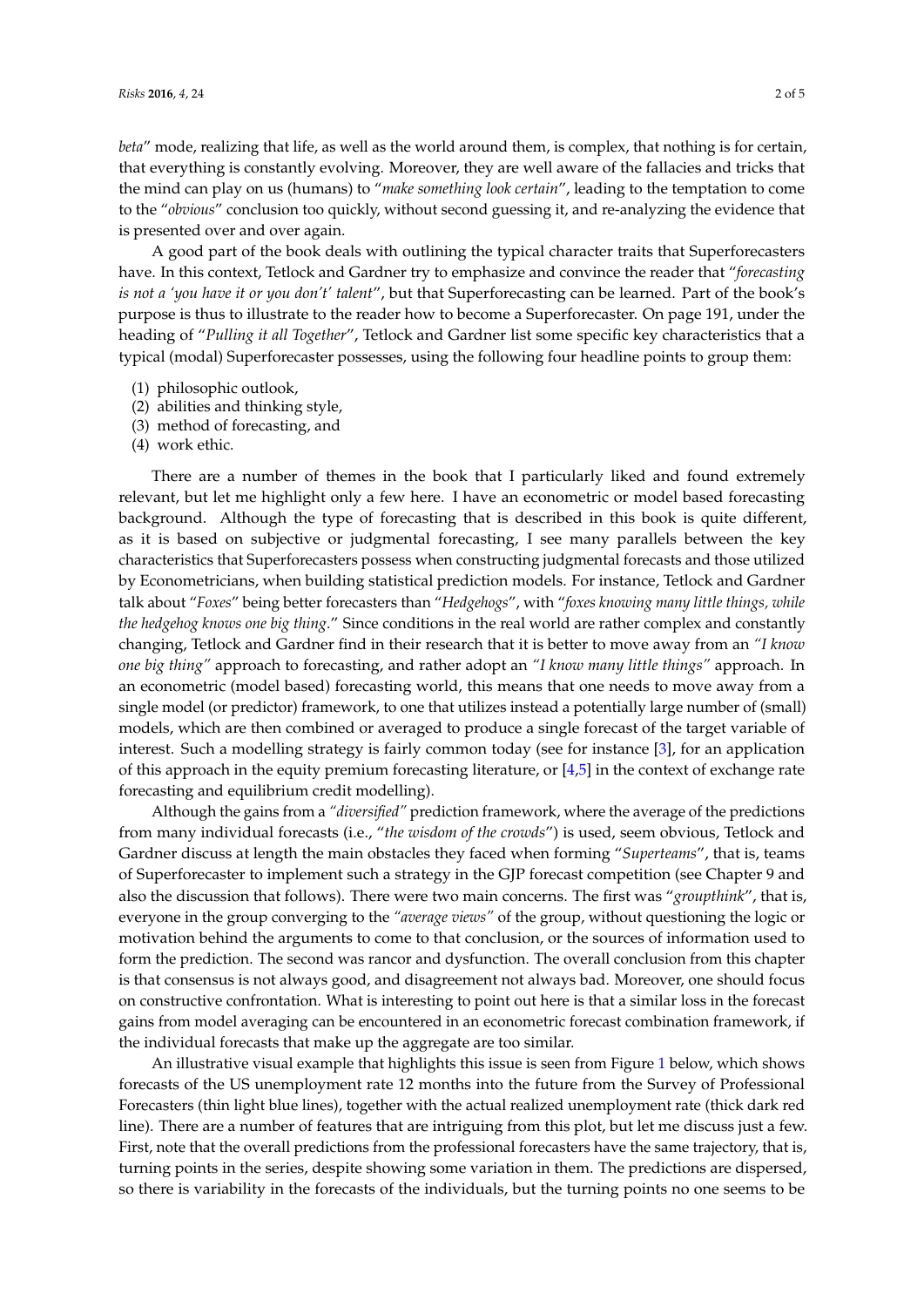*beta*" mode, realizing that life, as well as the world around them, is complex, that nothing is for certain, that everything is constantly evolving. Moreover, they are well aware of the fallacies and tricks that the mind can play on us (humans) to "*make something look certain*", leading to the temptation to come to the "*obvious*" conclusion too quickly, without second guessing it, and re-analyzing the evidence that is presented over and over again.

A good part of the book deals with outlining the typical character traits that Superforecasters have. In this context, Tetlock and Gardner try to emphasize and convince the reader that "*forecasting is not a 'you have it or you don't' talent*", but that Superforecasting can be learned. Part of the book's purpose is thus to illustrate to the reader how to become a Superforecaster. On page 191, under the heading of "*Pulling it all Together*", Tetlock and Gardner list some specific key characteristics that a typical (modal) Superforecaster possesses, using the following four headline points to group them:

- (1) philosophic outlook,
- (2) abilities and thinking style,
- (3) method of forecasting, and
- (4) work ethic.

There are a number of themes in the book that I particularly liked and found extremely relevant, but let me highlight only a few here. I have an econometric or model based forecasting background. Although the type of forecasting that is described in this book is quite different, as it is based on subjective or judgmental forecasting, I see many parallels between the key characteristics that Superforecasters possess when constructing judgmental forecasts and those utilized by Econometricians, when building statistical prediction models. For instance, Tetlock and Gardner talk about "*Foxes*" being better forecasters than "*Hedgehogs*", with "*foxes knowing many little things, while the hedgehog knows one big thing*." Since conditions in the real world are rather complex and constantly changing, Tetlock and Gardner find in their research that it is better to move away from an *"I know one big thing"* approach to forecasting, and rather adopt an *"I know many little things"* approach. In an econometric (model based) forecasting world, this means that one needs to move away from a single model (or predictor) framework, to one that utilizes instead a potentially large number of (small) models, which are then combined or averaged to produce a single forecast of the target variable of interest. Such a modelling strategy is fairly common today (see for instance [\[3\]](#page-4-2), for an application of this approach in the equity premium forecasting literature, or [\[4](#page-4-3)[,5\]](#page-4-4) in the context of exchange rate forecasting and equilibrium credit modelling).

Although the gains from a *"diversified"* prediction framework, where the average of the predictions from many individual forecasts (i.e., "*the wisdom of the crowds*") is used, seem obvious, Tetlock and Gardner discuss at length the main obstacles they faced when forming "*Superteams*", that is, teams of Superforecaster to implement such a strategy in the GJP forecast competition (see Chapter 9 and also the discussion that follows). There were two main concerns. The first was "*groupthink*", that is, everyone in the group converging to the *"average views"* of the group, without questioning the logic or motivation behind the arguments to come to that conclusion, or the sources of information used to form the prediction. The second was rancor and dysfunction. The overall conclusion from this chapter is that consensus is not always good, and disagreement not always bad. Moreover, one should focus on constructive confrontation. What is interesting to point out here is that a similar loss in the forecast gains from model averaging can be encountered in an econometric forecast combination framework, if the individual forecasts that make up the aggregate are too similar.

An illustrative visual example that highlights this issue is seen from Figure [1](#page-2-0) below, which shows forecasts of the US unemployment rate 12 months into the future from the Survey of Professional Forecasters (thin light blue lines), together with the actual realized unemployment rate (thick dark red line). There are a number of features that are intriguing from this plot, but let me discuss just a few. First, note that the overall predictions from the professional forecasters have the same trajectory, that is, turning points in the series, despite showing some variation in them. The predictions are dispersed, so there is variability in the forecasts of the individuals, but the turning points no one seems to be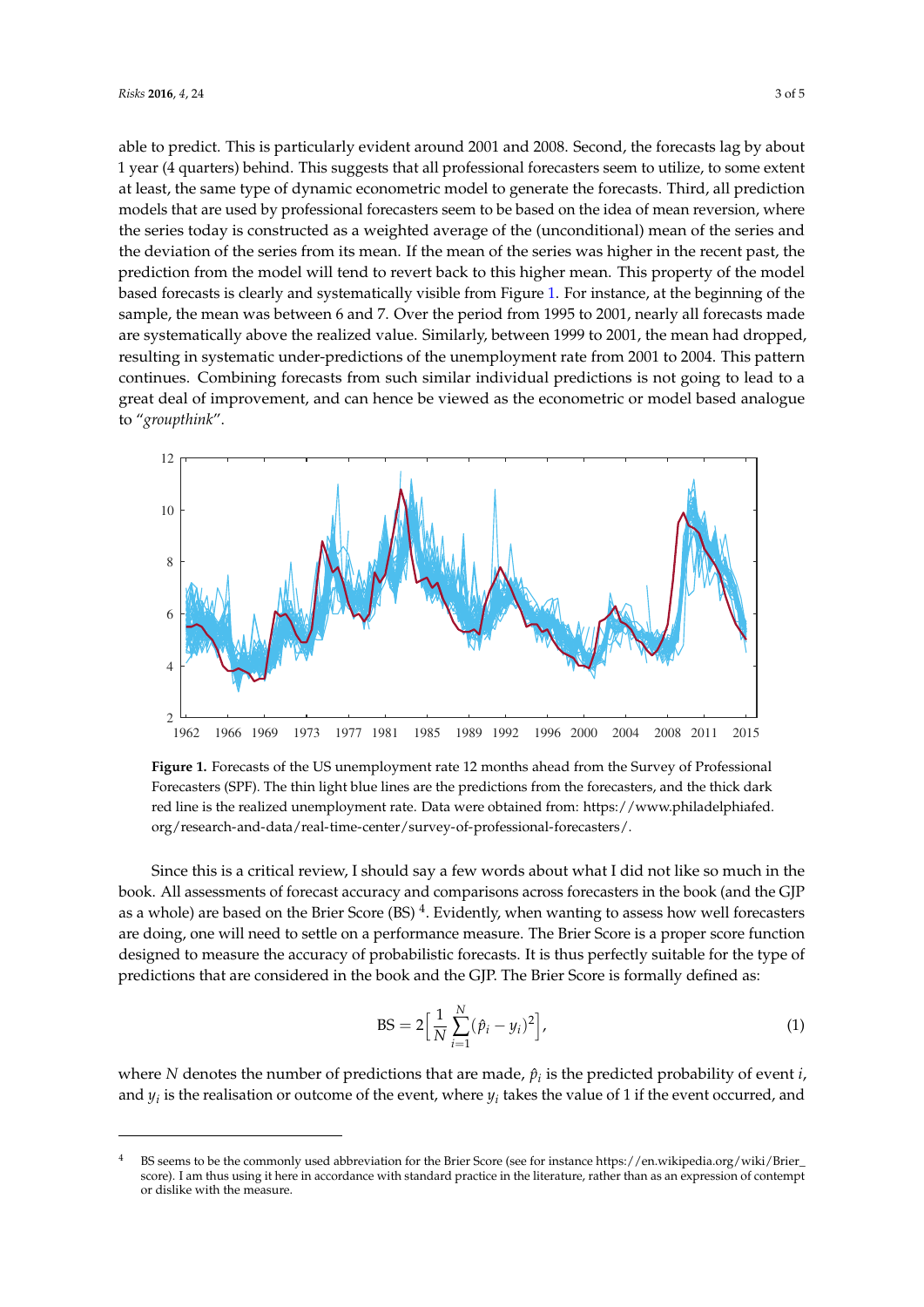able to predict. This is particularly evident around 2001 and 2008. Second, the forecasts lag by about 1 year (4 quarters) behind. This suggests that all professional forecasters seem to utilize, to some extent at least, the same type of dynamic econometric model to generate the forecasts. Third, all prediction models that are used by professional forecasters seem to be based on the idea of mean reversion, where the series today is constructed as a weighted average of the (unconditional) mean of the series and the deviation of the series from its mean. If the mean of the series was higher in the recent past, the prediction from the model will tend to revert back to this higher mean. This property of the model based forecasts is clearly and systematically visible from Figure [1.](#page-2-0) For instance, at the beginning of the sample, the mean was between 6 and 7. Over the period from 1995 to 2001, nearly all forecasts made are systematically above the realized value. Similarly, between 1999 to 2001, the mean had dropped, resulting in systematic under-predictions of the unemployment rate from 2001 to 2004. This pattern continues. Combining forecasts from such similar individual predictions is not going to lead to a great deal of improvement, and can hence be viewed as the econometric or model based analogue to "*groupthink*".

<span id="page-2-0"></span>

**Figure 1.** Forecasts of the US unemployment rate 12 months ahead from the Survey of Professional Forecasters (SPF). The thin light blue lines are the predictions from the forecasters, and the thick dark red line is the realized unemployment rate. Data were obtained from: [https://www.philadelphiafed.](https://www.philadelphiafed.org/research-and-data/real-time-center/survey-of-professional-forecasters/) [org/research-and-data/real-time-center/survey-of-professional-forecasters/.](https://www.philadelphiafed.org/research-and-data/real-time-center/survey-of-professional-forecasters/)

Since this is a critical review, I should say a few words about what I did not like so much in the book. All assessments of forecast accuracy and comparisons across forecasters in the book (and the GJP as a whole) are based on the Brier Score (BS)  $^4$ . Evidently, when wanting to assess how well forecasters are doing, one will need to settle on a performance measure. The Brier Score is a proper score function designed to measure the accuracy of probabilistic forecasts. It is thus perfectly suitable for the type of predictions that are considered in the book and the GJP. The Brier Score is formally defined as:

<span id="page-2-1"></span>
$$
BS = 2\Big[\frac{1}{N}\sum_{i=1}^{N}(\hat{p}_i - y_i)^2\Big],
$$
 (1)

where *N* denotes the number of predictions that are made,  $\hat{p}_i$  is the predicted probability of event *i*, and  $y_i$  is the realisation or outcome of the event, where  $y_i$  takes the value of 1 if the event occurred, and

<sup>4</sup> BS seems to be the commonly used abbreviation for the Brier Score (see for instance [https://en.wikipedia.org/wiki/Brier\\_](https://en.wikipedia.org/wiki/Brier_score) [score\)](https://en.wikipedia.org/wiki/Brier_score). I am thus using it here in accordance with standard practice in the literature, rather than as an expression of contempt or dislike with the measure.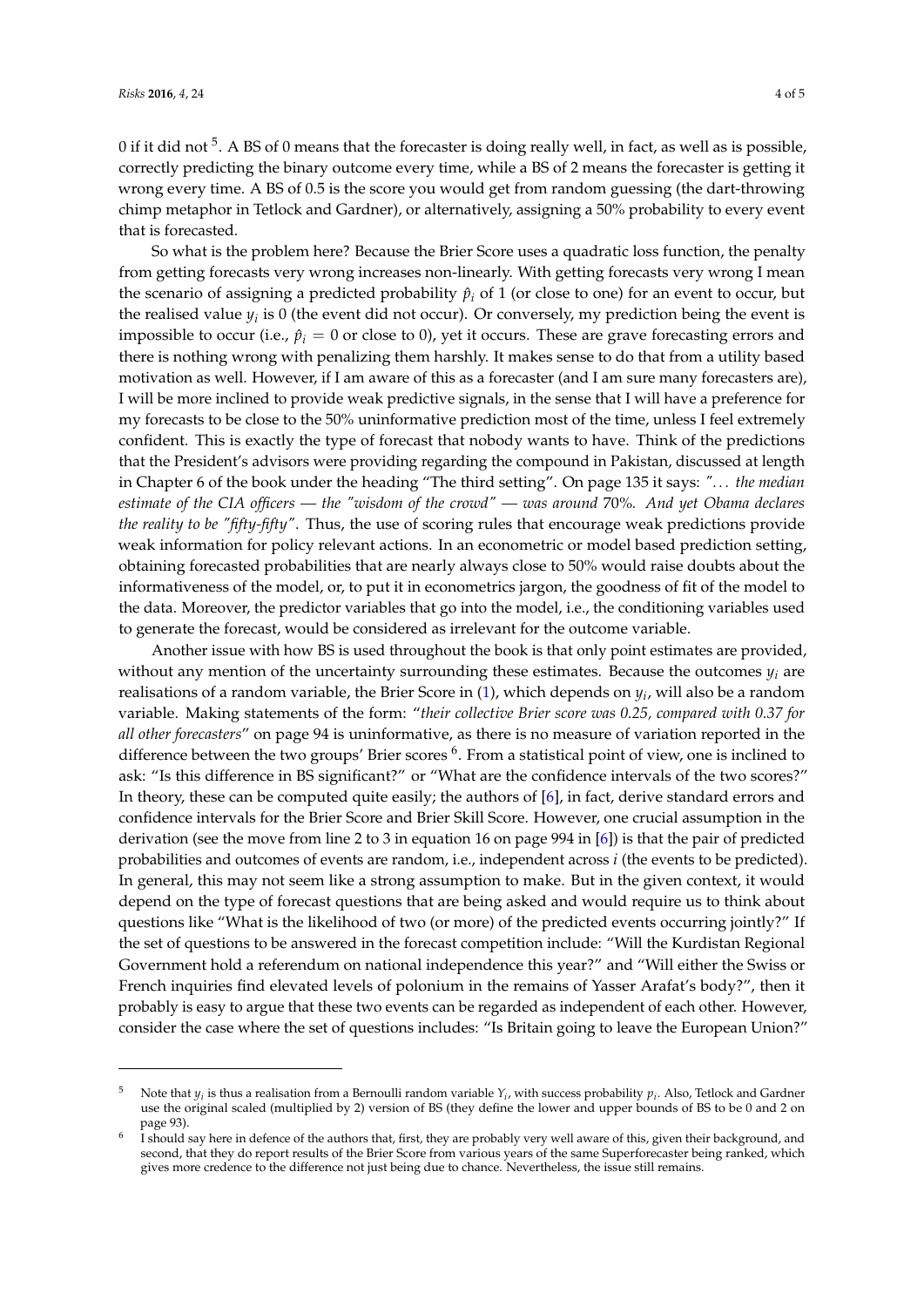0 if it did not  $^5$ . A BS of 0 means that the forecaster is doing really well, in fact, as well as is possible, correctly predicting the binary outcome every time, while a BS of 2 means the forecaster is getting it wrong every time. A BS of 0.5 is the score you would get from random guessing (the dart-throwing chimp metaphor in Tetlock and Gardner), or alternatively, assigning a 50% probability to every event that is forecasted.

So what is the problem here? Because the Brier Score uses a quadratic loss function, the penalty from getting forecasts very wrong increases non-linearly. With getting forecasts very wrong I mean the scenario of assigning a predicted probability  $\hat{p}_i$  of 1 (or close to one) for an event to occur, but the realised value  $y_i$  is 0 (the event did not occur). Or conversely, my prediction being the event is impossible to occur (i.e.,  $\hat{p}_i = 0$  or close to 0), yet it occurs. These are grave forecasting errors and there is nothing wrong with penalizing them harshly. It makes sense to do that from a utility based motivation as well. However, if I am aware of this as a forecaster (and I am sure many forecasters are), I will be more inclined to provide weak predictive signals, in the sense that I will have a preference for my forecasts to be close to the 50% uninformative prediction most of the time, unless I feel extremely confident. This is exactly the type of forecast that nobody wants to have. Think of the predictions that the President's advisors were providing regarding the compound in Pakistan, discussed at length in Chapter 6 of the book under the heading "The third setting". On page 135 it says: *". . . the median estimate of the CIA officers — the "wisdom of the crowd" — was around* 70%*. And yet Obama declares the reality to be "fifty-fifty"*. Thus, the use of scoring rules that encourage weak predictions provide weak information for policy relevant actions. In an econometric or model based prediction setting, obtaining forecasted probabilities that are nearly always close to 50% would raise doubts about the informativeness of the model, or, to put it in econometrics jargon, the goodness of fit of the model to the data. Moreover, the predictor variables that go into the model, i.e., the conditioning variables used to generate the forecast, would be considered as irrelevant for the outcome variable.

Another issue with how BS is used throughout the book is that only point estimates are provided, without any mention of the uncertainty surrounding these estimates. Because the outcomes *y<sup>i</sup>* are realisations of a random variable, the Brier Score in [\(1\)](#page-2-1), which depends on *y<sup>i</sup>* , will also be a random variable. Making statements of the form: "*their collective Brier score was 0.25, compared with 0.37 for all other forecasters*" on page 94 is uninformative, as there is no measure of variation reported in the difference between the two groups' Brier scores <sup>6</sup>. From a statistical point of view, one is inclined to ask: "Is this difference in BS significant?" or "What are the confidence intervals of the two scores?" In theory, these can be computed quite easily; the authors of [\[6\]](#page-4-5), in fact, derive standard errors and confidence intervals for the Brier Score and Brier Skill Score. However, one crucial assumption in the derivation (see the move from line 2 to 3 in equation 16 on page 994 in [\[6\]](#page-4-5)) is that the pair of predicted probabilities and outcomes of events are random, i.e., independent across *i* (the events to be predicted). In general, this may not seem like a strong assumption to make. But in the given context, it would depend on the type of forecast questions that are being asked and would require us to think about questions like "What is the likelihood of two (or more) of the predicted events occurring jointly?" If the set of questions to be answered in the forecast competition include: "Will the Kurdistan Regional Government hold a referendum on national independence this year?" and "Will either the Swiss or French inquiries find elevated levels of polonium in the remains of Yasser Arafat's body?", then it probably is easy to argue that these two events can be regarded as independent of each other. However, consider the case where the set of questions includes: "Is Britain going to leave the European Union?"

<sup>&</sup>lt;sup>5</sup> Note that  $y_i$  is thus a realisation from a Bernoulli random variable  $Y_i$ , with success probability  $p_i$ . Also, Tetlock and Gardner use the original scaled (multiplied by 2) version of BS (they define the lower and upper bounds of BS to be 0 and 2 on page 93).

<sup>6</sup> I should say here in defence of the authors that, first, they are probably very well aware of this, given their background, and second, that they do report results of the Brier Score from various years of the same Superforecaster being ranked, which gives more credence to the difference not just being due to chance. Nevertheless, the issue still remains.